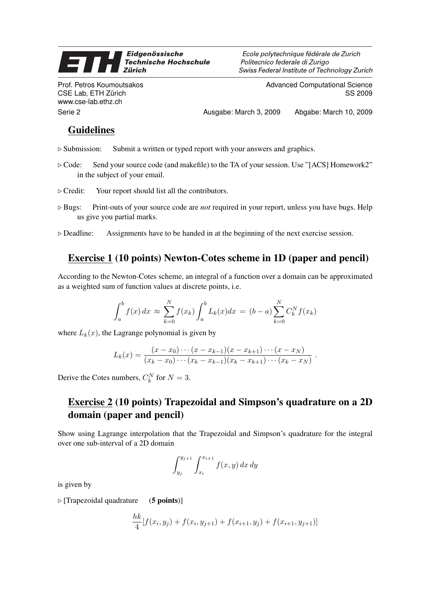#### Eidgenössische E **Technische Hochschule Zürich**

Prof. Petros Koumoutsakos CSE Lab, ETH Zürich www.cse-lab.ethz.ch

Ecole polytechnique fédérale de Zurich Politecnico federale di Zurigo Swiss Federal Institute of Technology Zurich

> Advanced Computational Science SS 2009

Serie 2 Ausgabe: March 3, 2009 Abgabe: March 10, 2009

## Guidelines

- $\triangleright$  Submission: Submit a written or typed report with your answers and graphics.
- $\triangleright$  Code: Send your source code (and makefile) to the TA of your session. Use "[ACS] Homework2" in the subject of your email.
- $\triangleright$  Credit: Your report should list all the contributors.
- $\triangleright$  Bugs: Print-outs of your source code are *not* required in your report, unless you have bugs. Help us give you partial marks.
- $\triangleright$  Deadline: Assignments have to be handed in at the beginning of the next exercise session.

### Exercise 1 (10 points) Newton-Cotes scheme in 1D (paper and pencil)

According to the Newton-Cotes scheme, an integral of a function over a domain can be approximated as a weighted sum of function values at discrete points, i.e.

$$
\int_{a}^{b} f(x) dx \approx \sum_{k=0}^{N} f(x_k) \int_{a}^{b} L_k(x) dx = (b-a) \sum_{k=0}^{N} C_k^{N} f(x_k)
$$

where  $L_k(x)$ , the Lagrange polynomial is given by

$$
L_k(x) = \frac{(x-x_0)\cdots(x-x_{k-1})(x-x_{k+1})\cdots(x-x_N)}{(x_k-x_0)\cdots(x_k-x_{k-1})(x_k-x_{k+1})\cdots(x_k-x_N)}.
$$

Derive the Cotes numbers,  $C_k^N$  for  $N = 3$ .

# Exercise 2 (10 points) Trapezoidal and Simpson's quadrature on a 2D domain (paper and pencil)

Show using Lagrange interpolation that the Trapezoidal and Simpson's quadrature for the integral over one sub-interval of a 2D domain

$$
\int_{y_j}^{y_{j+1}} \int_{x_i}^{x_{i+1}} f(x, y) dx dy
$$

is given by

 $\triangleright$  [Trapezoidal quadrature (5 points)]

$$
\frac{hk}{4}[f(x_i, y_j) + f(x_i, y_{j+1}) + f(x_{i+1}, y_j) + f(x_{i+1}, y_{j+1})]
$$